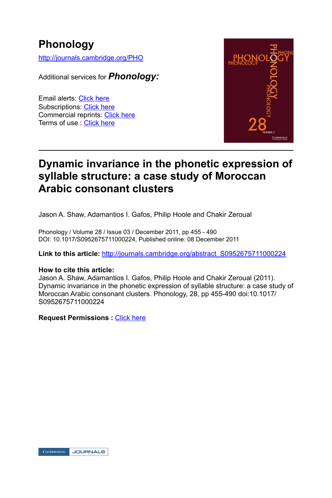# **Phonology**

http://journals.cambridge.org/PHO

Additional services for *Phonology:*

Email alerts: Click here Subscriptions: Click here Commercial reprints: Click here Terms of use : Click here



## **Dynamic invariance in the phonetic expression of syllable structure: a case study of Moroccan Arabic consonant clusters**

Jason A. Shaw, Adamantios I. Gafos, Philip Hoole and Chakir Zeroual

Phonology / Volume 28 / Issue 03 / December 2011, pp 455 - 490 DOI: 10.1017/S0952675711000224, Published online: 08 December 2011

**Link to this article:** http://journals.cambridge.org/abstract\_S0952675711000224

#### **How to cite this article:**

Jason A. Shaw, Adamantios I. Gafos, Philip Hoole and Chakir Zeroual (2011). Dynamic invariance in the phonetic expression of syllable structure: a case study of Moroccan Arabic consonant clusters. Phonology, 28, pp 455-490 doi:10.1017/ S0952675711000224

**Request Permissions : Click here** 

**CAMBRIDGE JOURNALS**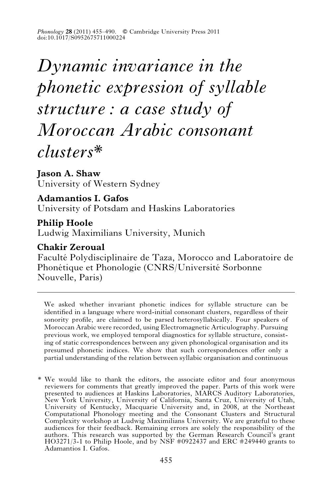*Phonology* 28 (2011) 455–490. © Cambridge University Press 2011 doi:10.1017/S0952675711000224

# *Dynamic invariance in the phonetic expression of syllable structure : a case study of Moroccan Arabic consonant clusters\**

**Jason A. Shaw** University of Western Sydney

**Adamantios I. Gafos** University of Potsdam and Haskins Laboratories

**Philip Hoole** Ludwig Maximilians University, Munich

## **Chakir Zeroual**

Faculté Polydisciplinaire de Taza, Morocco and Laboratoire de Phonétique et Phonologie (CNRS/Université Sorbonne Nouvelle, Paris)

We asked whether invariant phonetic indices for syllable structure can be identified in a language where word-initial consonant clusters, regardless of their sonority profile, are claimed to be parsed heterosyllabically. Four speakers of Moroccan Arabic were recorded, using Electromagnetic Articulography. Pursuing previous work, we employed temporal diagnostics for syllable structure, consisting of static correspondences between any given phonological organisation and its presumed phonetic indices. We show that such correspondences offer only a partial understanding of the relation between syllabic organisation and continuous

\* We would like to thank the editors, the associate editor and four anonymous reviewers for comments that greatly improved the paper. Parts of this work were presented to audiences at Haskins Laboratories, MARCS Auditory Laboratories, New York University, University of California, Santa Cruz, University of Utah, University of Kentucky, Macquarie University and, in 2008, at the Northeast Computational Phonology meeting and the Consonant Clusters and Structural Complexity workshop at Ludwig Maximilians University. We are grateful to these audiences for their feedback. Remaining errors are solely the responsibility of the authors. This research was supported by the German Research Council's grant HO3271/3-1 to Philip Hoole, and by NSF #0922437 and ERC #249440 grants to Adamantios I. Gafos.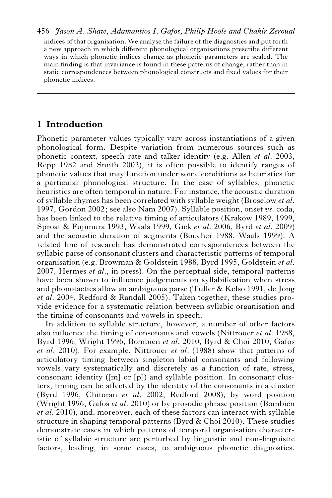indices of that organisation. We analyse the failure of the diagnostics and put forth a new approach in which different phonological organisations prescribe different ways in which phonetic indices change as phonetic parameters are scaled. The main finding is that invariance is found in these patterns of change, rather than in static correspondences between phonological constructs and fixed values for their phonetic indices. 456 *Jason A. Shaw, Adamantios I. Gafos, Philip Hoole and Chakir Zeroual*

## **1 Introduction**

Phonetic parameter values typically vary across instantiations of a given phonological form. Despite variation from numerous sources such as phonetic context, speech rate and talker identity (e.g. Allen *et al*. 2003, Repp 1982 and Smith 2002), it is often possible to identify ranges of phonetic values that may function under some conditions as heuristics for a particular phonological structure. In the case of syllables, phonetic heuristics are often temporal in nature. For instance, the acoustic duration of syllable rhymes has been correlated with syllable weight (Broselow *et al*. 1997, Gordon 2002; see also Nam 2007). Syllable position, onset *vs*. coda, has been linked to the relative timing of articulators (Krakow 1989, 1999, Sproat & Fujimura 1993, Waals 1999, Gick *et al*. 2006, Byrd *et al*. 2009) and the acoustic duration of segments (Boucher 1988, Waals 1999). A related line of research has demonstrated correspondences between the syllabic parse of consonant clusters and characteristic patterns of temporal organisation (e.g. Browman & Goldstein 1988, Byrd 1995, Goldstein *et al*. 2007, Hermes *et al*., in press). On the perceptual side, temporal patterns have been shown to influence judgements on syllabification when stress and phonotactics allow an ambiguous parse (Tuller & Kelso 1991, de Jong *et al*. 2004, Redford & Randall 2005). Taken together, these studies provide evidence for a systematic relation between syllabic organisation and the timing of consonants and vowels in speech.

In addition to syllable structure, however, a number of other factors also influence the timing of consonants and vowels (Nittrouer *et al*. 1988, Byrd 1996, Wright 1996, Bombien *et al*. 2010, Byrd & Choi 2010, Gafos *et al*. 2010). For example, Nittrouer *et al*. (1988) show that patterns of articulatory timing between singleton labial consonants and following vowels vary systematically and discretely as a function of rate, stress, consonant identity ( $[m]$  or  $[p]$ ) and syllable position. In consonant clusters, timing can be affected by the identity of the consonants in a cluster (Byrd 1996, Chitoran *et al*. 2002, Redford 2008), by word position (Wright 1996, Gafos *et al*. 2010) or by prosodic phrase position (Bombien *et al*. 2010), and, moreover, each of these factors can interact with syllable structure in shaping temporal patterns (Byrd  $\&$  Choi 2010). These studies demonstrate cases in which patterns of temporal organisation characteristic of syllabic structure are perturbed by linguistic and non-linguistic factors, leading, in some cases, to ambiguous phonetic diagnostics.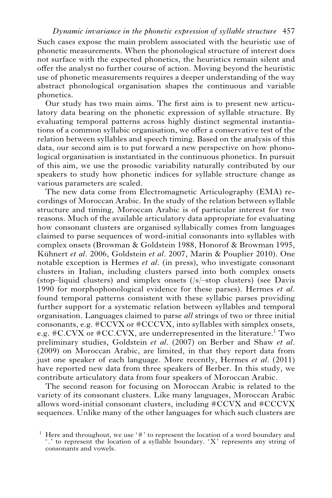Such cases expose the main problem associated with the heuristic use of phonetic measurements. When the phonological structure of interest does not surface with the expected phonetics, the heuristics remain silent and offer the analyst no further course of action. Moving beyond the heuristic use of phonetic measurements requires a deeper understanding of the way abstract phonological organisation shapes the continuous and variable phonetics.

Our study has two main aims. The first aim is to present new articulatory data bearing on the phonetic expression of syllable structure. By evaluating temporal patterns across highly distinct segmental instantiations of a common syllabic organisation, we offer a conservative test of the relation between syllables and speech timing. Based on the analysis of this data, our second aim is to put forward a new perspective on how phonological organisation is instantiated in the continuous phonetics. In pursuit of this aim, we use the prosodic variability naturally contributed by our speakers to study how phonetic indices for syllable structure change as various parameters are scaled.

The new data come from Electromagnetic Articulography (EMA) recordings of Moroccan Arabic. In the study of the relation between syllable structure and timing, Moroccan Arabic is of particular interest for two reasons. Much of the available articulatory data appropriate for evaluating how consonant clusters are organised syllabically comes from languages claimed to parse sequences of word-initial consonants into syllables with complex onsets (Browman & Goldstein 1988, Honorof & Browman 1995, Kühnert et al. 2006, Goldstein et al. 2007, Marin & Pouplier 2010). One notable exception is Hermes *et al*. (in press), who investigate consonant clusters in Italian, including clusters parsed into both complex onsets (stop–liquid clusters) and simplex onsets  $(|s|$ –stop clusters) (see Davis 1990 for morphophonological evidence for these parses). Hermes *et al*. found temporal patterns consistent with these syllabic parses providing further support for a systematic relation between syllables and temporal organisation. Languages claimed to parse *all* strings of two or three initial consonants, e.g. #CCVX or #CCCVX, into syllables with simplex onsets, e.g.  $\#C.CVX$  or  $\#CC.CVX$ , are underrepresented in the literature.<sup>1</sup> Two preliminary studies, Goldstein *et al*. (2007) on Berber and Shaw *et al*. (2009) on Moroccan Arabic, are limited, in that they report data from just one speaker of each language. More recently, Hermes *et al*. (2011) have reported new data from three speakers of Berber. In this study, we contribute articulatory data from four speakers of Moroccan Arabic.

The second reason for focusing on Moroccan Arabic is related to the variety of its consonant clusters. Like many languages, Moroccan Arabic allows word-initial consonant clusters, including #CCVX and #CCCVX sequences. Unlike many of the other languages for which such clusters are

<sup>&</sup>lt;sup>1</sup> Here and throughout, we use '#' to represent the location of a word boundary and '.' to represent the location of a syllable boundary. 'X' represents any string of consonants and vowels.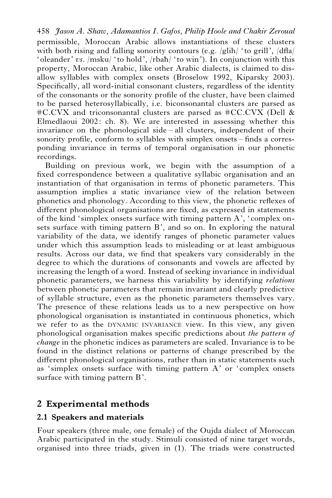permissible, Moroccan Arabic allows instantiations of these clusters with both rising and falling sonority contours (e.g.  $/glih/$  'to grill',  $/dfa/$ ' oleander' *vs*. /msku/ 'to hold', /rbah/ 'to win'). In conjunction with this property, Moroccan Arabic, like other Arabic dialects, is claimed to disallow syllables with complex onsets (Broselow 1992, Kiparsky 2003). Specifically, all word-initial consonant clusters, regardless of the identity of the consonants or the sonority profile of the cluster, have been claimed to be parsed heterosyllabically, i.e. biconsonantal clusters are parsed as  $\text{#C,CVX}$  and triconsonantal clusters are parsed as  $\text{#CC,CVX}$  (Dell & Elmedlaoui 2002: ch. 8). We are interested in assessing whether this invariance on the phonological side – all clusters, independent of their sonority profile, conform to syllables with simplex onsets – finds a corresponding invariance in terms of temporal organisation in our phonetic recordings. 458 *Jason A. Shaw, Adamantios I. Gafos, Philip Hoole and Chakir Zeroual*

Building on previous work, we begin with the assumption of a fixed correspondence between a qualitative syllabic organisation and an instantiation of that organisation in terms of phonetic parameters. This assumption implies a static invariance view of the relation between phonetics and phonology. According to this view, the phonetic reflexes of different phonological organisations are fixed, as expressed in statements of the kind 'simplex onsets surface with timing pattern A', 'complex onsets surface with timing pattern B', and so on. In exploring the natural variability of the data, we identify ranges of phonetic parameter values under which this assumption leads to misleading or at least ambiguous results. Across our data, we find that speakers vary considerably in the degree to which the durations of consonants and vowels are affected by increasing the length of a word. Instead of seeking invariance in individual phonetic parameters, we harness this variability by identifying *relations* between phonetic parameters that remain invariant and clearly predictive of syllable structure, even as the phonetic parameters themselves vary. The presence of these relations leads us to a new perspective on how phonological organisation is instantiated in continuous phonetics, which we refer to as the DYNAMIC INVARIANCE view. In this view, any given phonological organisation makes specific predictions about *the pattern of change* in the phonetic indices as parameters are scaled. Invariance is to be found in the distinct relations or patterns of change prescribed by the different phonological organisations, rather than in static statements such as 'simplex onsets surface with timing pattern A' or 'complex onsets surface with timing pattern B'.

## **2 Experimental methods**

## **2.1 Speakers and materials**

Four speakers (three male, one female) of the Oujda dialect of Moroccan Arabic participated in the study. Stimuli consisted of nine target words, organised into three triads, given in (1). The triads were constructed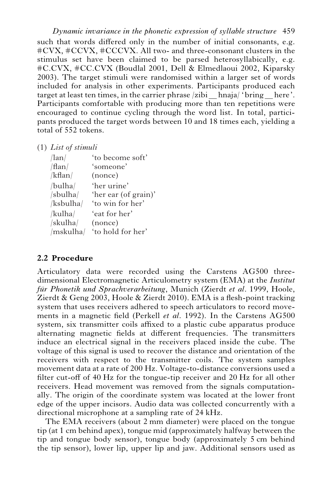*Dynamic invariance in the phonetic expression of syllable structure* 459

such that words differed only in the number of initial consonants, e.g. #CVX, #CCVX, #CCCVX. All two- and three-consonant clusters in the stimulus set have been claimed to be parsed heterosyllabically, e.g. #C.CVX, #CC.CVX (Boudlal 2001, Dell & Elmedlaoui 2002, Kiparsky 2003). The target stimuli were randomised within a larger set of words included for analysis in other experiments. Participants produced each target at least ten times, in the carrier phrase  $|zibi|$  hnaja/ 'bring here'. Participants comfortable with producing more than ten repetitions were encouraged to continue cycling through the word list. In total, participants produced the target words between 10 and 18 times each, yielding a total of 552 tokens.

(1) *List of stimuli*

| $\langle \text{lan} \rangle$ | 'to become soft'     |
|------------------------------|----------------------|
| $/$ flan $/$                 | 'someone'            |
| /kfan/                       | (nonce)              |
| /bulha/                      | 'her urine'          |
| /sbulha/                     | 'her ear (of grain)' |
| /ksbulha/                    | 'to win for her'     |
| /kulha/                      | 'eat for her'        |
| /skulha/                     | (nonce)              |
| /mskulha/                    | 'to hold for her'    |
|                              |                      |

#### **2.2 Procedure**

Articulatory data were recorded using the Carstens AG500 threedimensional Electromagnetic Articulometry system (EMA) at the *Institut fu¨r Phonetik und Sprachverarbeitung*, Munich (Zierdt *et al*. 1999, Hoole, Zierdt & Geng 2003, Hoole & Zierdt 2010). EMA is a flesh-point tracking system that uses receivers adhered to speech articulators to record movements in a magnetic field (Perkell *et al*. 1992). In the Carstens AG500 system, six transmitter coils affixed to a plastic cube apparatus produce alternating magnetic fields at different frequencies. The transmitters induce an electrical signal in the receivers placed inside the cube. The voltage of this signal is used to recover the distance and orientation of the receivers with respect to the transmitter coils. The system samples movement data at a rate of 200 Hz. Voltage-to-distance conversions used a filter cut-off of 40 Hz for the tongue-tip receiver and 20 Hz for all other receivers. Head movement was removed from the signals computationally. The origin of the coordinate system was located at the lower front edge of the upper incisors. Audio data was collected concurrently with a directional microphone at a sampling rate of 24 kHz.

The EMA receivers (about 2 mm diameter) were placed on the tongue tip (at 1 cm behind apex), tongue mid (approximately halfway between the tip and tongue body sensor), tongue body (approximately 5 cm behind the tip sensor), lower lip, upper lip and jaw. Additional sensors used as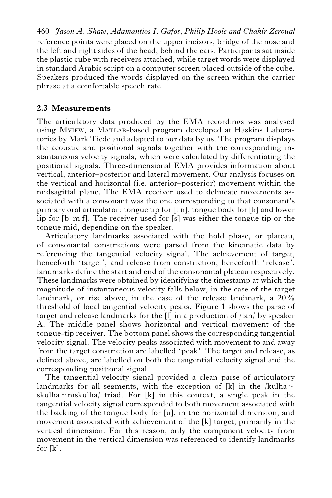reference points were placed on the upper incisors, bridge of the nose and the left and right sides of the head, behind the ears. Participants sat inside the plastic cube with receivers attached, while target words were displayed in standard Arabic script on a computer screen placed outside of the cube. Speakers produced the words displayed on the screen within the carrier phrase at a comfortable speech rate. 460 *Jason A. Shaw, Adamantios I. Gafos, Philip Hoole and Chakir Zeroual*

## **2.3 Measurements**

The articulatory data produced by the EMA recordings was analysed using MVIEW, a MATLAB-based program developed at Haskins Laboratories by Mark Tiede and adapted to our data by us. The program displays the acoustic and positional signals together with the corresponding instantaneous velocity signals, which were calculated by differentiating the positional signals. Three-dimensional EMA provides information about vertical, anterior–posterior and lateral movement. Our analysis focuses on the vertical and horizontal (i.e. anterior–posterior) movement within the midsagittal plane. The EMA receiver used to delineate movements associated with a consonant was the one corresponding to that consonant's primary oral articulator: tongue tip for [l n], tongue body for [k] and lower lip for [b m f]. The receiver used for [s] was either the tongue tip or the tongue mid, depending on the speaker.

Articulatory landmarks associated with the hold phase, or plateau, of consonantal constrictions were parsed from the kinematic data by referencing the tangential velocity signal. The achievement of target, henceforth 'target', and release from constriction, henceforth 'release', landmarks define the start and end of the consonantal plateau respectively. These landmarks were obtained by identifying the timestamp at which the magnitude of instantaneous velocity falls below, in the case of the target landmark, or rise above, in the case of the release landmark, a 20% threshold of local tangential velocity peaks. Figure 1 shows the parse of target and release landmarks for the [l] in a production of /lan/ by speaker A. The middle panel shows horizontal and vertical movement of the tongue-tip receiver. The bottom panel shows the corresponding tangential velocity signal. The velocity peaks associated with movement to and away from the target constriction are labelled 'peak'. The target and release, as defined above, are labelled on both the tangential velocity signal and the corresponding positional signal.

The tangential velocity signal provided a clean parse of articulatory landmarks for all segments, with the exception of [k] in the /kulha~ skulha~mskulha/ triad. For  $[k]$  in this context, a single peak in the tangential velocity signal corresponded to both movement associated with the backing of the tongue body for [u], in the horizontal dimension, and movement associated with achievement of the [k] target, primarily in the vertical dimension. For this reason, only the component velocity from movement in the vertical dimension was referenced to identify landmarks for  $[k]$ .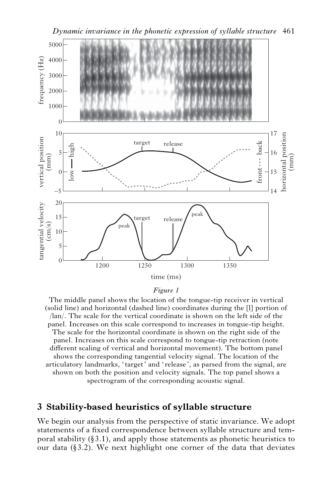

*Figure 1*

The middle panel shows the location of the tongue-tip receiver in vertical (solid line) and horizontal (dashed line) coordinates during the [l] portion of /lan/. The scale for the vertical coordinate is shown on the left side of the panel. Increases on this scale correspond to increases in tongue-tip height. The scale for the horizontal coordinate is shown on the right side of the panel. Increases on this scale correspond to tongue-tip retraction (note different scaling of vertical and horizontal movement). The bottom panel shows the corresponding tangential velocity signal. The location of the articulatory landmarks, 'target' and 'release', as parsed from the signal, are shown on both the position and velocity signals. The top panel shows a spectrogram of the corresponding acoustic signal.

## **3 Stability-based heuristics of syllable structure**

We begin our analysis from the perspective of static invariance. We adopt statements of a fixed correspondence between syllable structure and temporal stability  $(\xi 3.1)$ , and apply those statements as phonetic heuristics to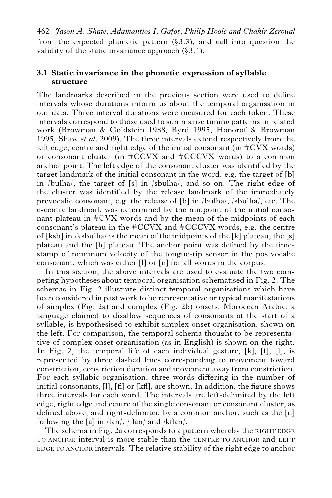from the expected phonetic pattern  $(\S 3.3)$ , and call into question the validity of the static invariance approach  $(\S 3.4)$ . 462 *Jason A. Shaw, Adamantios I. Gafos, Philip Hoole and Chakir Zeroual*

## **3.1 Static invariance in the phonetic expression of syllable structure**

The landmarks described in the previous section were used to define intervals whose durations inform us about the temporal organisation in our data. Three interval durations were measured for each token. These intervals correspond to those used to summarise timing patterns in related work (Browman & Goldstein 1988, Byrd 1995, Honorof & Browman 1995, Shaw *et al*. 2009). The three intervals extend respectively from the left edge, centre and right edge of the initial consonant (in #CVX words) or consonant cluster (in #CCVX and #CCCVX words) to a common anchor point. The left edge of the consonant cluster was identified by the target landmark of the initial consonant in the word, e.g. the target of [b] in /bulha/, the target of [s] in /sbulha/, and so on. The right edge of the cluster was identified by the release landmark of the immediately prevocalic consonant, e.g. the release of [b] in /bulha/, /sbulha/, etc. The c-centre landmark was determined by the midpoint of the initial consonant plateau in #CVX words and by the mean of the midpoints of each consonant's plateau in the #CCVX and #CCCVX words, e.g. the centre of [ksb] in /ksbulha/ is the mean of the midpoints of the [k] plateau, the [s] plateau and the [b] plateau. The anchor point was defined by the timestamp of minimum velocity of the tongue-tip sensor in the postvocalic consonant, which was either [l] or [n] for all words in the corpus.

In this section, the above intervals are used to evaluate the two competing hypotheses about temporal organisation schematised in Fig. 2. The schemas in Fig. 2 illustrate distinct temporal organisations which have been considered in past work to be representative or typical manifestations of simplex (Fig. 2a) and complex (Fig. 2b) onsets. Moroccan Arabic, a language claimed to disallow sequences of consonants at the start of a syllable, is hypothesised to exhibit simplex onset organisation, shown on the left. For comparison, the temporal schema thought to be representative of complex onset organisation (as in English) is shown on the right. In Fig. 2, the temporal life of each individual gesture,  $[k]$ ,  $[f]$ ,  $[1]$ , is represented by three dashed lines corresponding to movement toward constriction, constriction duration and movement away from constriction. For each syllabic organisation, three words differing in the number of initial consonants, [l], [fl] or [kfl], are shown. In addition, the figure shows three intervals for each word. The intervals are left-delimited by the left edge, right edge and centre of the single consonant or consonant cluster, as defined above, and right-delimited by a common anchor, such as the [n] following the [a] in /lan/, /flan/ and /kflan/.

The schema in Fig. 2a corresponds to a pattern whereby the RIGHT EDGE TO ANCHOR interval is more stable than the CENTRE TO ANCHOR and LEFT EDGE TO ANCHOR intervals. The relative stability of the right edge to anchor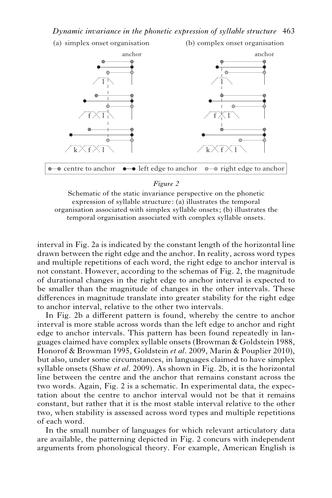*Dynamic invariance in the phonetic expression of syllable structure* 463

(a) simplex onset organisation  $\qquad$  (b) complex onset organisation



#### *Figure 2*

Schematic of the static invariance perspective on the phonetic expression of syllable structure: (a) illustrates the temporal organisation associated with simplex syllable onsets; (b) illustrates the temporal organisation associated with complex syllable onsets.

interval in Fig. 2a is indicated by the constant length of the horizontal line drawn between the right edge and the anchor. In reality, across word types and multiple repetitions of each word, the right edge to anchor interval is not constant. However, according to the schemas of Fig. 2, the magnitude of durational changes in the right edge to anchor interval is expected to be smaller than the magnitude of changes in the other intervals. These differences in magnitude translate into greater stability for the right edge to anchor interval, relative to the other two intervals.

In Fig. 2b a different pattern is found, whereby the centre to anchor interval is more stable across words than the left edge to anchor and right edge to anchor intervals. This pattern has been found repeatedly in languages claimed have complex syllable onsets (Browman  $\&$  Goldstein 1988, Honorof & Browman 1995, Goldstein *et al*. 2009, Marin & Pouplier 2010), but also, under some circumstances, in languages claimed to have simplex syllable onsets (Shaw *et al*. 2009). As shown in Fig. 2b, it is the horizontal line between the centre and the anchor that remains constant across the two words. Again, Fig. 2 is a schematic. In experimental data, the expectation about the centre to anchor interval would not be that it remains constant, but rather that it is the most stable interval relative to the other two, when stability is assessed across word types and multiple repetitions of each word.

In the small number of languages for which relevant articulatory data are available, the patterning depicted in Fig. 2 concurs with independent arguments from phonological theory. For example, American English is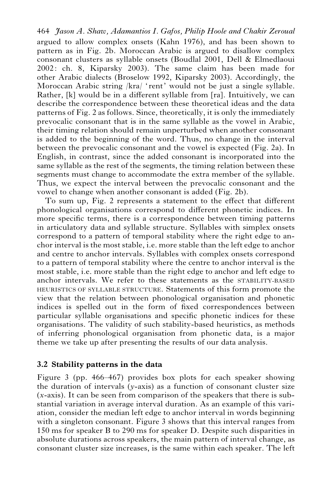argued to allow complex onsets (Kahn 1976), and has been shown to pattern as in Fig. 2b. Moroccan Arabic is argued to disallow complex consonant clusters as syllable onsets (Boudlal 2001, Dell & Elmedlaoui 2002: ch. 8, Kiparsky 2003). The same claim has been made for other Arabic dialects (Broselow 1992, Kiparsky 2003). Accordingly, the Moroccan Arabic string /kra/ 'rent' would not be just a single syllable. Rather, [k] would be in a different syllable from [ra]. Intuitively, we can describe the correspondence between these theoretical ideas and the data patterns of Fig. 2 as follows. Since, theoretically, it is only the immediately prevocalic consonant that is in the same syllable as the vowel in Arabic, their timing relation should remain unperturbed when another consonant is added to the beginning of the word. Thus, no change in the interval between the prevocalic consonant and the vowel is expected (Fig. 2a). In English, in contrast, since the added consonant is incorporated into the same syllable as the rest of the segments, the timing relation between these segments must change to accommodate the extra member of the syllable. Thus, we expect the interval between the prevocalic consonant and the vowel to change when another consonant is added (Fig. 2b). 464 *Jason A. Shaw, Adamantios I. Gafos, Philip Hoole and Chakir Zeroual*

To sum up, Fig. 2 represents a statement to the effect that different phonological organisations correspond to different phonetic indices. In more specific terms, there is a correspondence between timing patterns in articulatory data and syllable structure. Syllables with simplex onsets correspond to a pattern of temporal stability where the right edge to anchor interval is the most stable, i.e. more stable than the left edge to anchor and centre to anchor intervals. Syllables with complex onsets correspond to a pattern of temporal stability where the centre to anchor interval is the most stable, i.e. more stable than the right edge to anchor and left edge to anchor intervals. We refer to these statements as the STABILITY-BASED HEURISTICS OF SYLLABLE STRUCTURE. Statements of this form promote the view that the relation between phonological organisation and phonetic indices is spelled out in the form of fixed correspondences between particular syllable organisations and specific phonetic indices for these organisations. The validity of such stability-based heuristics, as methods of inferring phonological organisation from phonetic data, is a major theme we take up after presenting the results of our data analysis.

## **3.2 Stability patterns in the data**

Figure 3 (pp. 466–467) provides box plots for each speaker showing the duration of intervals  $(y-axis)$  as a function of consonant cluster size (*x*-axis). It can be seen from comparison of the speakers that there is substantial variation in average interval duration. As an example of this variation, consider the median left edge to anchor interval in words beginning with a singleton consonant. Figure 3 shows that this interval ranges from 150 ms for speaker B to 290 ms for speaker D. Despite such disparities in absolute durations across speakers, the main pattern of interval change, as consonant cluster size increases, is the same within each speaker. The left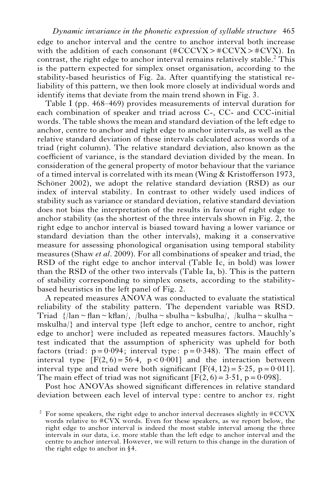*Dynamic invariance in the phonetic expression of syllable structure* 465

edge to anchor interval and the centre to anchor interval both increase with the addition of each consonant  $(\#CCVX > \#CCVX > \#CVX)$ . In contrast, the right edge to anchor interval remains relatively stable.<sup>2</sup> This is the pattern expected for simplex onset organisation, according to the stability-based heuristics of Fig. 2a. After quantifying the statistical reliability of this pattern, we then look more closely at individual words and identify items that deviate from the main trend shown in Fig. 3.

Table I (pp. 468–469) provides measurements of interval duration for each combination of speaker and triad across C-, CC- and CCC-initial words. The table shows the mean and standard deviation of the left edge to anchor, centre to anchor and right edge to anchor intervals, as well as the relative standard deviation of these intervals calculated across words of a triad (right column). The relative standard deviation, also known as the coefficient of variance, is the standard deviation divided by the mean. In consideration of the general property of motor behaviour that the variance of a timed interval is correlated with its mean (Wing & Kristofferson 1973, Schöner 2002), we adopt the relative standard deviation (RSD) as our index of interval stability. In contrast to other widely used indices of stability such as variance or standard deviation, relative standard deviation does not bias the interpretation of the results in favour of right edge to anchor stability (as the shortest of the three intervals shown in Fig. 2, the right edge to anchor interval is biased toward having a lower variance or standard deviation than the other intervals), making it a conservative measure for assessing phonological organisation using temporal stability measures (Shaw *et al*. 2009). For all combinations of speaker and triad, the RSD of the right edge to anchor interval (Table Ic, in bold) was lower than the RSD of the other two intervals (Table Ia, b). This is the pattern of stability corresponding to simplex onsets, according to the stabilitybased heuristics in the left panel of Fig. 2.

A repeated measures ANOVA was conducted to evaluate the statistical reliability of the stability pattern. The dependent variable was RSD. Triad  $\{\tan \sim \tan \sim k\tan\}$ , /bulha ~ sbulha ~ ksbulha/, /kulha ~ skulha ~ mskulha/} and interval type {left edge to anchor, centre to anchor, right edge to anchor} were included as repeated measures factors. Mauchly's test indicated that the assumption of sphericity was upheld for both factors (triad:  $p=0.094$ ; interval type:  $p=0.348$ ). The main effect of interval type  $[F(2, 6) = 56.4, p < 0.001]$  and the interaction between interval type and triad were both significant  $[F(4, 12) = 5.25, p = 0.011]$ . The main effect of triad was not significant  $[F(2, 6) = 3.51, p = 0.098]$ .

Post hoc ANOVAs showed significant differences in relative standard deviation between each level of interval type: centre to anchor *vs*. right

<sup>&</sup>lt;sup>2</sup> For some speakers, the right edge to anchor interval decreases slightly in  $\#CCVX$ words relative to #CVX words. Even for these speakers, as we report below, the right edge to anchor interval is indeed the most stable interval among the three intervals in our data, i.e. more stable than the left edge to anchor interval and the centre to anchor interval. However, we will return to this change in the duration of the right edge to anchor in  $§4$ .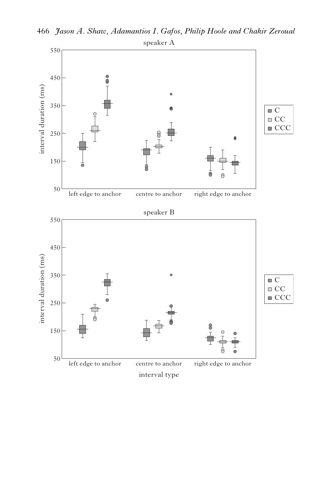

466 *Jason A. Shaw, Adamantios I. Gafos, Philip Hoole and Chakir Zeroual*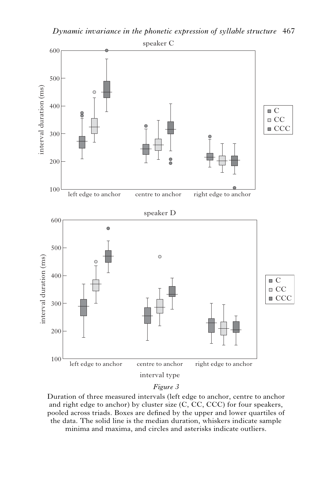

Duration of three measured intervals (left edge to anchor, centre to anchor and right edge to anchor) by cluster size (C, CC, CCC) for four speakers, pooled across triads. Boxes are defined by the upper and lower quartiles of the data. The solid line is the median duration, whiskers indicate sample minima and maxima, and circles and asterisks indicate outliers.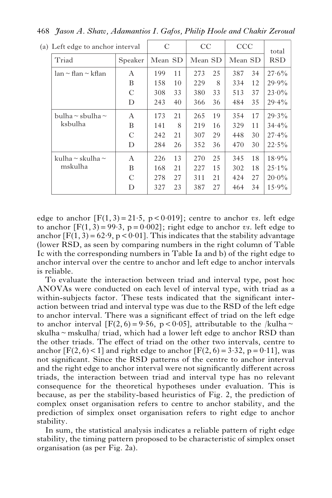|  | 468 Jason A. Shaw, Adamantios I. Gafos, Philip Hoole and Chakir Zeroual |  |  |  |
|--|-------------------------------------------------------------------------|--|--|--|
|  |                                                                         |  |  |  |

| (a) Left edge to anchor interval |                                          |         | C       |    | CC      |    | <b>CCC</b> |    | total      |
|----------------------------------|------------------------------------------|---------|---------|----|---------|----|------------|----|------------|
|                                  | Triad                                    | Speaker | Mean SD |    | Mean SD |    | Mean SD    |    | <b>RSD</b> |
|                                  | $lan \sim \text{flan} \sim k\text{flan}$ | A       | 199     | 11 | 273     | 25 | 387        | 34 | $27.6\%$   |
|                                  |                                          | B       | 158     | 10 | 229     | 8  | 334        | 12 | $29.9\%$   |
|                                  |                                          | C       | 308     | 33 | 380     | 33 | 513        | 37 | $23.0\%$   |
|                                  |                                          | D       | 243     | 40 | 366     | 36 | 484        | 35 | $29.4\%$   |
|                                  | bulha ~ sbulha ~                         | A       | 173     | 21 | 265     | 19 | 354        | 17 | $29.3\%$   |
|                                  | ksbulha                                  | B       | 141     | 8  | 219     | 16 | 329        | 11 | $34.4\%$   |
|                                  |                                          | C       | 242     | 21 | 307     | 29 | 448        | 30 | $27.4\%$   |
|                                  |                                          | D       | 284     | 26 | 352     | 36 | 470        | 30 | $22.5\%$   |
|                                  | kulha ~ skulha ~                         | A       | 226     | 13 | 270     | 25 | 345        | 18 | $18.9\%$   |
|                                  | mskulha                                  | B       | 168     | 21 | 227     | 15 | 302        | 18 | $25.1\%$   |
|                                  |                                          | C       | 278     | 27 | 311     | 21 | 424        | 27 | $20.0\%$   |
|                                  |                                          | D       | 327     | 23 | 387     | 27 | 464        | 34 | $15.9\%$   |
|                                  |                                          |         |         |    |         |    |            |    |            |

edge to anchor  $[F(1, 3) = 21.5, p < 0.019]$ ; centre to anchor *vs*. left edge to anchor  $[F(1, 3) = 99.3, p = 0.002]$ ; right edge to anchor *vs*. left edge to anchor  $[F(1, 3) = 62.9, p < 0.01]$ . This indicates that the stability advantage (lower RSD, as seen by comparing numbers in the right column of Table Ic with the corresponding numbers in Table Ia and b) of the right edge to anchor interval over the centre to anchor and left edge to anchor intervals is reliable.

To evaluate the interaction between triad and interval type, post hoc ANOVAs were conducted on each level of interval type, with triad as a within-subjects factor. These tests indicated that the significant interaction between triad and interval type was due to the RSD of the left edge to anchor interval. There was a significant effect of triad on the left edge to anchor interval [F(2, 6) = 9.56, p < 0.05], attributable to the /kulha~ skulha $\sim$ mskulha/ triad, which had a lower left edge to anchor RSD than the other triads. The effect of triad on the other two intervals, centre to anchor  $[F(2, 6) < 1]$  and right edge to anchor  $[F(2, 6) = 3.32, p = 0.11]$ , was not significant. Since the RSD patterns of the centre to anchor interval and the right edge to anchor interval were not significantly different across triads, the interaction between triad and interval type has no relevant consequence for the theoretical hypotheses under evaluation. This is because, as per the stability-based heuristics of Fig. 2, the prediction of complex onset organisation refers to centre to anchor stability, and the prediction of simplex onset organisation refers to right edge to anchor stability.

In sum, the statistical analysis indicates a reliable pattern of right edge stability, the timing pattern proposed to be characteristic of simplex onset organisation (as per Fig. 2a).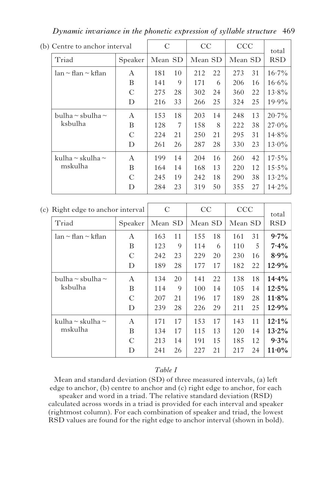*Dynamic invariance in the phonetic expression of syllable structure* 469

| (b) Centre to anchor interval     |               |         | C  |         | CC |         | <b>CCC</b> |                     |
|-----------------------------------|---------------|---------|----|---------|----|---------|------------|---------------------|
| Triad                             | Speaker       | Mean SD |    | Mean SD |    | Mean SD |            | total<br><b>RSD</b> |
| $lan \sim \text{flan} \sim kflan$ | A             | 181     | 10 | 212     | 22 | 273     | 31         | $16.7\%$            |
|                                   | B             | 141     | 9  | 171     | 6  | 206     | 16         | $16.6\%$            |
|                                   | $\mathcal{C}$ | 275     | 28 | 302     | 24 | 360     | 22         | $13.8\%$            |
|                                   | D             | 216     | 33 | 266     | 25 | 324     | 25         | $19.9\%$            |
| bulha ~ sbulha ~                  | A             | 153     | 18 | 203     | 14 | 248     | 13         | $20.7\%$            |
| ksbulha                           | B             | 128     | 7  | 158     | 8  | 222     | 38         | $27.0\%$            |
|                                   | C             | 224     | 21 | 250     | 21 | 295     | 31         | $14.8\%$            |
|                                   | D             | 261     | 26 | 287     | 28 | 330     | 23         | $13.0\%$            |
| kulha ~ skulha ~                  | A             | 199     | 14 | 204     | 16 | 260     | 42         | $17.5\%$            |
| mskulha                           | B             | 164     | 14 | 168     | 13 | 220     | 12         | $15.5\%$            |
|                                   | C             | 245     | 19 | 242     | 18 | 290     | 38         | $13.2\%$            |
|                                   | D             | 284     | 23 | 319     | 50 | 355     | 27         | $14.2\%$            |

|  |  | (c) Right edge to anchor interval |  |
|--|--|-----------------------------------|--|
|  |  |                                   |  |

| (c) Right edge to anchor interval |         | C       |    | CC      |    | <b>CCC</b> |    | total      |
|-----------------------------------|---------|---------|----|---------|----|------------|----|------------|
| Triad                             | Speaker | Mean SD |    | Mean SD |    | Mean SD    |    | <b>RSD</b> |
| lan ∼ flan ~ kflan                | A       | 163     | 11 | 155     | 18 | 161        | 31 | $9.7\%$    |
|                                   | B       | 123     | 9  | 114     | 6  | 110        | 5  | $7.4\%$    |
|                                   | C       | 242     | 23 | 229     | 20 | 230        | 16 | $8.9\%$    |
|                                   | D       | 189     | 28 | 177     | 17 | 182        | 22 | $12.9\%$   |
| bulha ~ sbulha ~                  | А       | 134     | 20 | 141     | 22 | 138        | 18 | $14.4\%$   |
| ksbulha                           | B       | 114     | 9  | 100     | 14 | 105        | 14 | $12.5\%$   |
|                                   | C       | 207     | 21 | 196     | 17 | 189        | 28 | $11.8\%$   |
|                                   | D       | 239     | 28 | 226     | 29 | 211        | 25 | $12.9\%$   |
| kulha ~ skulha ~                  | A       | 171     | 17 | 153     | 17 | 143        | 11 | $12.1\%$   |
| mskulha                           | B       | 134     | 17 | 115     | 13 | 120        | 14 | $13.2\%$   |
|                                   | C       | 213     | 14 | 191     | 15 | 185        | 12 | $9.3\%$    |
|                                   | D       | 241     | 26 | 227     | 21 | 217        | 24 | $11.0\%$   |

 $\overline{C}$ 

 $\overline{C}$ 

 $C^{\prime}$ 

#### *Table I*

Mean and standard deviation (SD) of three measured intervals, (a) left edge to anchor, (b) centre to anchor and (c) right edge to anchor, for each

speaker and word in a triad. The relative standard deviation (RSD) calculated across words in a triad is provided for each interval and speaker (rightmost column). For each combination of speaker and triad, the lowest RSD values are found for the right edge to anchor interval (shown in bold).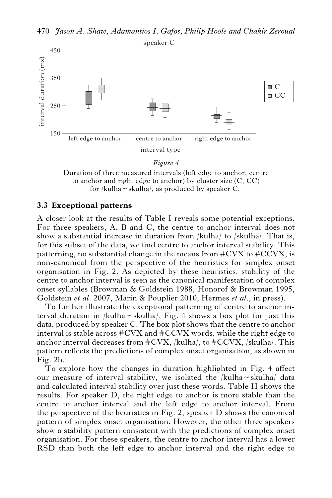

left edge to anchor centre to anchor right edge to anchor interval type

*Figure 4*

Duration of three measured intervals (left edge to anchor, centre to anchor and right edge to anchor) by cluster size (C, CC) for /kulha $\sim$  skulha/, as produced by speaker C.

## **3.3 Exceptional patterns**

150

A closer look at the results of Table I reveals some potential exceptions. For three speakers, A, B and C, the centre to anchor interval does not show a substantial increase in duration from /kulha/ to /skulha/. That is, for this subset of the data, we find centre to anchor interval stability. This patterning, no substantial change in the means from  $\text{\#CVX}$  to  $\text{\#CCVX}$ , is non-canonical from the perspective of the heuristics for simplex onset organisation in Fig. 2. As depicted by these heuristics, stability of the centre to anchor interval is seen as the canonical manifestation of complex onset syllables (Browman & Goldstein 1988, Honorof & Browman 1995, Goldstein *et al*. 2007, Marin & Pouplier 2010, Hermes *et al*., in press).

To further illustrate the exceptional patterning of centre to anchor interval duration in /kulha~skulha/, Fig. 4 shows a box plot for just this data, produced by speaker C. The box plot shows that the centre to anchor interval is stable across #CVX and #CCVX words, while the right edge to anchor interval decreases from  $\#Cvx$ , /kulha/, to  $\#CCVX$ , /skulha/. This pattern reflects the predictions of complex onset organisation, as shown in Fig. 2b.

To explore how the changes in duration highlighted in Fig. 4 affect our measure of interval stability, we isolated the  $/kulha \sim$ skulha $/$  data and calculated interval stability over just these words. Table II shows the results. For speaker D, the right edge to anchor is more stable than the centre to anchor interval and the left edge to anchor interval. From the perspective of the heuristics in Fig. 2, speaker D shows the canonical pattern of simplex onset organisation. However, the other three speakers show a stability pattern consistent with the predictions of complex onset organisation. For these speakers, the centre to anchor interval has a lower RSD than both the left edge to anchor interval and the right edge to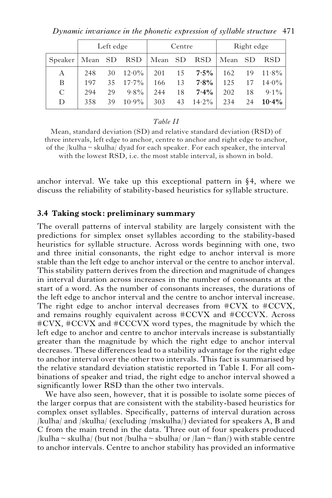*Dynamic invariance in the phonetic expression of syllable structure* 471

|                   |     | Left edge |              |         | Centre |                 | Right edge |    |                   |
|-------------------|-----|-----------|--------------|---------|--------|-----------------|------------|----|-------------------|
| Speaker   Mean SD |     |           | RSD          | Mean SD |        | RSD.            | Mean SD    |    | <b>RSD</b>        |
| А                 | 248 | 30        | $12.0\%$     | 201     | 15     | $7.5\%$         | 162        |    | $19 \quad 11.8\%$ |
| B                 | 197 | 35        | $17.7\%$     | 166     | 13     | $7.8\%$         | 125        | 17 | $14.0\%$          |
| $\mathcal{C}$     | 294 | 29        | $9.8\%$      | 244     | 18     | $7.4\%$         | 202        | 18 | $9.1\%$           |
| D                 | 358 | 39        | $10.9\%$ 303 |         |        | 43 $14.2\%$ 234 |            | 24 | $10.4\%$          |

#### *Table II*

Mean, standard deviation (SD) and relative standard deviation (RSD) of three intervals, left edge to anchor, centre to anchor and right edge to anchor, of the  $/kulha \sim$ skulha $/$  dyad for each speaker. For each speaker, the interval with the lowest RSD, i.e. the most stable interval, is shown in bold.

anchor interval. We take up this exceptional pattern in  $\S$ 4, where we discuss the reliability of stability-based heuristics for syllable structure.

#### **3.4 Taking stock: preliminary summary**

The overall patterns of interval stability are largely consistent with the predictions for simplex onset syllables according to the stability-based heuristics for syllable structure. Across words beginning with one, two and three initial consonants, the right edge to anchor interval is more stable than the left edge to anchor interval or the centre to anchor interval. This stability pattern derives from the direction and magnitude of changes in interval duration across increases in the number of consonants at the start of a word. As the number of consonants increases, the durations of the left edge to anchor interval and the centre to anchor interval increase. The right edge to anchor interval decreases from #CVX to #CCVX, and remains roughly equivalent across #CCVX and #CCCVX. Across #CVX, #CCVX and #CCCVX word types, the magnitude by which the left edge to anchor and centre to anchor intervals increase is substantially greater than the magnitude by which the right edge to anchor interval decreases. These differences lead to a stability advantage for the right edge to anchor interval over the other two intervals. This fact is summarised by the relative standard deviation statistic reported in Table I. For all combinations of speaker and triad, the right edge to anchor interval showed a significantly lower RSD than the other two intervals.

We have also seen, however, that it is possible to isolate some pieces of the larger corpus that are consistent with the stability-based heuristics for complex onset syllables. Specifically, patterns of interval duration across /kulha/ and /skulha/ (excluding /mskulha/) deviated for speakers A, B and C from the main trend in the data. Three out of four speakers produced /kulha ~ skulha/ (but not /bulha ~ sbulha/ or /lan ~ flan/) with stable centre to anchor intervals. Centre to anchor stability has provided an informative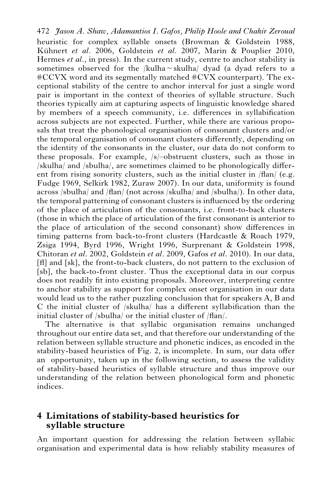heuristic for complex syllable onsets (Browman & Goldstein 1988, Kühnert *et al.* 2006, Goldstein *et al.* 2007, Marin & Pouplier 2010, Hermes *et al*., in press). In the current study, centre to anchor stability is sometimes observed for the  $/kulha \sim skulha/dyad$  (a dyad refers to a #CCVX word and its segmentally matched #CVX counterpart). The exceptional stability of the centre to anchor interval for just a single word pair is important in the context of theories of syllable structure. Such theories typically aim at capturing aspects of linguistic knowledge shared by members of a speech community, i.e. differences in syllabification across subjects are not expected. Further, while there are various proposals that treat the phonological organisation of consonant clusters and/or the temporal organisation of consonant clusters differently, depending on the identity of the consonants in the cluster, our data do not conform to these proposals. For example, /s/–obstruent clusters, such as those in /skulha/ and /sbulha/, are sometimes claimed to be phonologically different from rising sonority clusters, such as the initial cluster in  $/$ flan $/$  (e.g. Fudge 1969, Selkirk 1982, Zuraw 2007). In our data, uniformity is found across /sbulha/ and /flan/ (not across /skulha/ and /sbulha/). In other data, the temporal patterning of consonant clusters is influenced by the ordering of the place of articulation of the consonants, i.e. front-to-back clusters (those in which the place of articulation of the first consonant is anterior to the place of articulation of the second consonant) show differences in timing patterns from back-to-front clusters (Hardcastle & Roach 1979, Zsiga 1994, Byrd 1996, Wright 1996, Surprenant & Goldstein 1998, Chitoran *et al*. 2002, Goldstein *et al*. 2009, Gafos *et al*. 2010). In our data, [fl] and [sk], the front-to-back clusters, do not pattern to the exclusion of [sb], the back-to-front cluster. Thus the exceptional data in our corpus does not readily fit into existing proposals. Moreover, interpreting centre to anchor stability as support for complex onset organisation in our data would lead us to the rather puzzling conclusion that for speakers A, B and C the initial cluster of /skulha/ has a different syllabification than the initial cluster of /sbulha/ or the initial cluster of /flan/. 472 *Jason A. Shaw, Adamantios I. Gafos, Philip Hoole and Chakir Zeroual*

The alternative is that syllabic organisation remains unchanged throughout our entire data set, and that therefore our understanding of the relation between syllable structure and phonetic indices, as encoded in the stability-based heuristics of Fig. 2, is incomplete. In sum, our data offer an opportunity, taken up in the following section, to assess the validity of stability-based heuristics of syllable structure and thus improve our understanding of the relation between phonological form and phonetic indices.

## **4 Limitations of stability-based heuristics for syllable structure**

An important question for addressing the relation between syllabic organisation and experimental data is how reliably stability measures of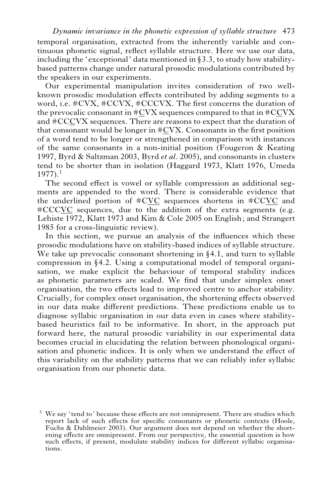temporal organisation, extracted from the inherently variable and continuous phonetic signal, reflect syllable structure. Here we use our data, including the 'exceptional' data mentioned in  $\S 3.3$ , to study how stabilitybased patterns change under natural prosodic modulations contributed by the speakers in our experiments.

Our experimental manipulation invites consideration of two wellknown prosodic modulation effects contributed by adding segments to a word, i.e. #CVX, #CCVX, #CCCVX. The first concerns the duration of the prevocalic consonant in #CVX sequences compared to that in #CCVX and #CCCVX sequences. There are reasons to expect that the duration of that consonant would be longer in #CVX. Consonants in the first position of a word tend to be longer or strengthened in comparison with instances of the same consonants in a non-initial position (Fougeron & Keating 1997, Byrd & Saltzman 2003, Byrd *et al*. 2005), and consonants in clusters tend to be shorter than in isolation (Haggard 1973, Klatt 1976, Umeda  $1977$ ).<sup>3</sup>

The second effect is vowel or syllable compression as additional segments are appended to the word. There is considerable evidence that the underlined portion of #CVC sequences shortens in #CCVC and #CCCVC sequences, due to the addition of the extra segments (e.g. Lehiste 1972, Klatt 1973 and Kim & Cole 2005 on English; and Strangert 1985 for a cross-linguistic review).

In this section, we pursue an analysis of the influences which these prosodic modulations have on stability-based indices of syllable structure. We take up prevocalic consonant shortening in  $§4.1$ , and turn to syllable compression in  $§4.2$ . Using a computational model of temporal organisation, we make explicit the behaviour of temporal stability indices as phonetic parameters are scaled. We find that under simplex onset organisation, the two effects lead to improved centre to anchor stability. Crucially, for complex onset organisation, the shortening effects observed in our data make different predictions. These predictions enable us to diagnose syllabic organisation in our data even in cases where stabilitybased heuristics fail to be informative. In short, in the approach put forward here, the natural prosodic variability in our experimental data becomes crucial in elucidating the relation between phonological organisation and phonetic indices. It is only when we understand the effect of this variability on the stability patterns that we can reliably infer syllabic organisation from our phonetic data.

 $3\,$  We say 'tend to' because these effects are not omnipresent. There are studies which report lack of such effects for specific consonants or phonetic contexts (Hoole, Fuchs & Dahlmeier 2003). Our argument does not depend on whether the shortening effects are omnipresent. From our perspective, the essential question is how such effects, if present, modulate stability indices for different syllabic organisations.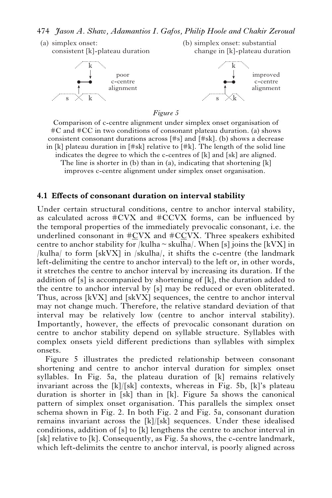(a) simplex onset: consistent [k]−plateau duration (a) simplex onset: (b) simplex onset: substantial







#### *Figure 5*

Comparison of c-centre alignment under simplex onset organisation of #C and #CC in two conditions of consonant plateau duration. (a) shows consistent consonant durations across [#s] and [#sk]. (b) shows a decrease in [k] plateau duration in [#sk] relative to [#k]. The length of the solid line indicates the degree to which the c-centres of [k] and [sk] are aligned. The line is shorter in (b) than in (a), indicating that shortening [k]

improves c-centre alignment under simplex onset organisation.

#### **4.1 Effects of consonant duration on interval stability**

Under certain structural conditions, centre to anchor interval stability, as calculated across #CVX and #CCVX forms, can be influenced by the temporal properties of the immediately prevocalic consonant, i.e. the underlined consonant in  $\pm$ CVX and  $\pm$ CCVX. Three speakers exhibited centre to anchor stability for /kulha  $\sim$  skulha/. When [s] joins the [kVX] in /kulha/ to form [skVX] in /skulha/, it shifts the c-centre (the landmark left-delimiting the centre to anchor interval) to the left or, in other words, it stretches the centre to anchor interval by increasing its duration. If the addition of [s] is accompanied by shortening of [k], the duration added to the centre to anchor interval by [s] may be reduced or even obliterated. Thus, across [kVX] and [skVX] sequences, the centre to anchor interval may not change much. Therefore, the relative standard deviation of that interval may be relatively low (centre to anchor interval stability). Importantly, however, the effects of prevocalic consonant duration on centre to anchor stability depend on syllable structure. Syllables with complex onsets yield different predictions than syllables with simplex onsets.

Figure 5 illustrates the predicted relationship between consonant shortening and centre to anchor interval duration for simplex onset syllables. In Fig. 5a, the plateau duration of [k] remains relatively invariant across the  $[k]/[sk]$  contexts, whereas in Fig. 5b,  $[k]'s$  plateau duration is shorter in [sk] than in [k]. Figure 5a shows the canonical pattern of simplex onset organisation. This parallels the simplex onset schema shown in Fig. 2. In both Fig. 2 and Fig. 5a, consonant duration remains invariant across the [k]/[sk] sequences. Under these idealised conditions, addition of [s] to [k] lengthens the centre to anchor interval in [sk] relative to [k]. Consequently, as Fig. 5a shows, the c-centre landmark, which left-delimits the centre to anchor interval, is poorly aligned across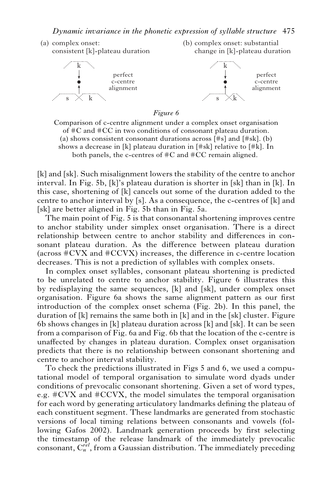(a) complex onset: consistent [k]−plateau duration (a) complex onset: (b) complex onset: substantial







#### *Figure 6*

Comparison of c-centre alignment under a complex onset organisation of #C and #CC in two conditions of consonant plateau duration. (a) shows consistent consonant durations across [#s] and [#sk]. (b) shows a decrease in [k] plateau duration in [#sk] relative to [#k]. In both panels, the c-centres of #C and #CC remain aligned.

[k] and [sk]. Such misalignment lowers the stability of the centre to anchor interval. In Fig. 5b, [k]'s plateau duration is shorter in [sk] than in [k]. In this case, shortening of [k] cancels out some of the duration added to the centre to anchor interval by [s]. As a consequence, the c-centres of [k] and [sk] are better aligned in Fig. 5b than in Fig. 5a.

The main point of Fig. 5 is that consonantal shortening improves centre to anchor stability under simplex onset organisation. There is a direct relationship between centre to anchor stability and differences in consonant plateau duration. As the difference between plateau duration (across #CVX and #CCVX) increases, the difference in c-centre location decreases. This is not a prediction of syllables with complex onsets.

In complex onset syllables, consonant plateau shortening is predicted to be unrelated to centre to anchor stability. Figure 6 illustrates this by redisplaying the same sequences, [k] and [sk], under complex onset organisation. Figure 6a shows the same alignment pattern as our first introduction of the complex onset schema (Fig. 2b). In this panel, the duration of  $[k]$  remains the same both in  $[k]$  and in the  $[sk]$  cluster. Figure 6b shows changes in [k] plateau duration across [k] and [sk]. It can be seen from a comparison of Fig. 6a and Fig. 6b that the location of the c-centre is unaffected by changes in plateau duration. Complex onset organisation predicts that there is no relationship between consonant shortening and centre to anchor interval stability.

To check the predictions illustrated in Figs 5 and 6, we used a computational model of temporal organisation to simulate word dyads under conditions of prevocalic consonant shortening. Given a set of word types, e.g. #CVX and #CCVX, the model simulates the temporal organisation for each word by generating articulatory landmarks defining the plateau of each constituent segment. These landmarks are generated from stochastic versions of local timing relations between consonants and vowels (following Gafos 2002). Landmark generation proceeds by first selecting the timestamp of the release landmark of the immediately prevocalic consonant,  $C_n^{\text{rel}}$ , from a Gaussian distribution. The immediately preceding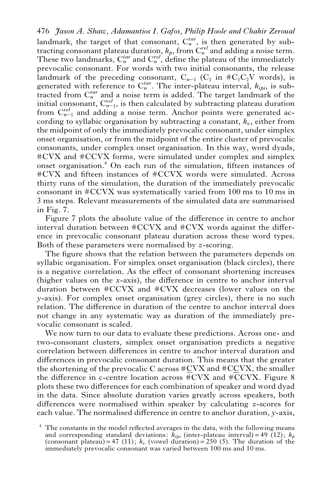landmark, the target of that consonant,  $C_n^{tar}$ , is then generated by subtracting consonant plateau duration,  $k_p$ , from  $C_n^{rel}$  and adding a noise term. These two landmarks,  $C_n^{tar}$  and  $C_n^{rel}$ , define the plateau of the immediately prevocalic consonant. For words with two initial consonants, the release landmark of the preceding consonant,  $C_{n-1}$  ( $C_1$  in  $\#C_1C_2V$  words), is generated with reference to  $C_n^{tar}$ . The inter-plateau interval,  $k_{ipi}$ , is subtracted from  $C_n^{tar}$  and a noise term is added. The target landmark of the initial consonant,  $C_{n-1}^{rel}$ , is then calculated by subtracting plateau duration from  $C_{n-1}^{rel}$  and adding a noise term. Anchor points were generated according to syllabic organisation by subtracting a constant,  $k_v$ , either from the midpoint of only the immediately prevocalic consonant, under simplex onset organisation, or from the midpoint of the entire cluster of prevocalic consonants, under complex onset organisation. In this way, word dyads, #CVX and #CCVX forms, were simulated under complex and simplex onset organisation.4 On each run of the simulation, fifteen instances of #CVX and fifteen instances of #CCVX words were simulated. Across thirty runs of the simulation, the duration of the immediately prevocalic consonant in #CCVX was systematically varied from 100 ms to 10 ms in 3 ms steps. Relevant measurements of the simulated data are summarised in Fig. 7. 476 *Jason A. Shaw, Adamantios I. Gafos, Philip Hoole and Chakir Zeroual*

Figure 7 plots the absolute value of the difference in centre to anchor interval duration between #CCVX and #CVX words against the difference in prevocalic consonant plateau duration across these word types. Both of these parameters were normalised by *z*-scoring.

The figure shows that the relation between the parameters depends on syllabic organisation. For simplex onset organisation (black circles), there is a negative correlation. As the effect of consonant shortening increases (higher values on the *x*-axis), the difference in centre to anchor interval duration between #CCVX and #CVX decreases (lower values on the  $y$ -axis). For complex onset organisation (grey circles), there is no such relation. The difference in duration of the centre to anchor interval does not change in any systematic way as duration of the immediately prevocalic consonant is scaled.

We now turn to our data to evaluate these predictions. Across one- and two-consonant clusters, simplex onset organisation predicts a negative correlation between differences in centre to anchor interval duration and differences in prevocalic consonant duration. This means that the greater the shortening of the prevocalic C across #CVX and #CCVX, the smaller the difference in c-centre location across #CVX and #CCVX. Figure 8 plots these two differences for each combination of speaker and word dyad in the data. Since absolute duration varies greatly across speakers, both differences were normalised within speaker by calculating *z*-scores for each value. The normalised difference in centre to anchor duration, *y*-axis,

<sup>&</sup>lt;sup>4</sup> The constants in the model reflected averages in the data, with the following means and corresponding standard deviations:  $\vec{k}_{\text{ini}}$  (inter-plateau interval) = 49 (12);  $k_p$ (consonant plateau)=47 (11);  $k_v$  (vowel duration)=250 (5). The duration of the immediately prevocalic consonant was varied between 100 ms and 10 ms.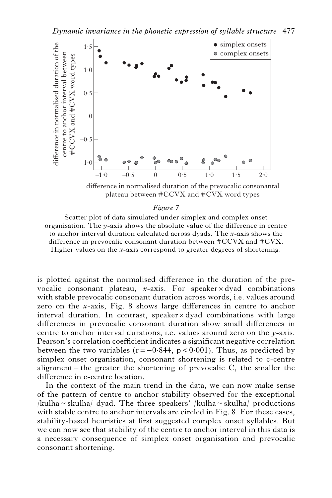

difference in normalised duration of the prevocalic consonantal plateau between #CCVX and #CVX word types

Scatter plot of data simulated under simplex and complex onset organisation. The *y*-axis shows the absolute value of the difference in centre to anchor interval duration calculated across dyads. The *x*-axis shows the difference in prevocalic consonant duration between #CCVX and #CVX. Higher values on the *x*-axis correspond to greater degrees of shortening.

is plotted against the normalised difference in the duration of the prevocalic consonant plateau, *x*-axis. For speaker  $\times$  dyad combinations with stable prevocalic consonant duration across words, i.e. values around zero on the *x*-axis, Fig. 8 shows large differences in centre to anchor interval duration. In contrast, speaker  $\times$  dyad combinations with large differences in prevocalic consonant duration show small differences in centre to anchor interval durations, i.e. values around zero on the *y*-axis. Pearson's correlation coefficient indicates a significant negative correlation between the two variables ( $r = -0.844$ ,  $p < 0.001$ ). Thus, as predicted by simplex onset organisation, consonant shortening is related to c-centre alignment – the greater the shortening of prevocalic C, the smaller the difference in c-centre location.

In the context of the main trend in the data, we can now make sense of the pattern of centre to anchor stability observed for the exceptional /kulha  $\sim$  skulha/ dyad. The three speakers' /kulha  $\sim$  skulha/ productions with stable centre to anchor intervals are circled in Fig. 8. For these cases, stability-based heuristics at first suggested complex onset syllables. But we can now see that stability of the centre to anchor interval in this data is a necessary consequence of simplex onset organisation and prevocalic consonant shortening.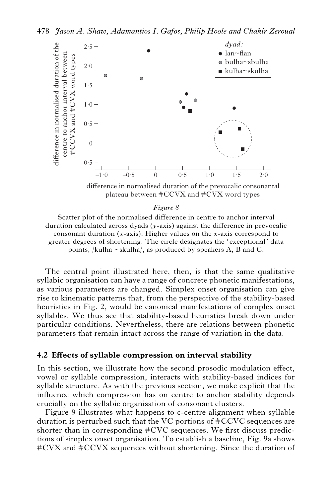

difference in normalised duration of the prevocalic consonantal plateau between #CCVX and #CVX word types

Scatter plot of the normalised difference in centre to anchor interval duration calculated across dyads (*y*-axis) against the difference in prevocalic consonant duration (*x*-axis). Higher values on the *x*-axis correspond to greater degrees of shortening. The circle designates the 'exceptional' data points,  $/kulha \sim skulha/$ , as produced by speakers A, B and C.

The central point illustrated here, then, is that the same qualitative syllabic organisation can have a range of concrete phonetic manifestations, as various parameters are changed. Simplex onset organisation can give rise to kinematic patterns that, from the perspective of the stability-based heuristics in Fig. 2, would be canonical manifestations of complex onset syllables. We thus see that stability-based heuristics break down under particular conditions. Nevertheless, there are relations between phonetic parameters that remain intact across the range of variation in the data.

#### **4.2 Effects of syllable compression on interval stability**

In this section, we illustrate how the second prosodic modulation effect, vowel or syllable compression, interacts with stability-based indices for syllable structure. As with the previous section, we make explicit that the influence which compression has on centre to anchor stability depends crucially on the syllabic organisation of consonant clusters.

Figure 9 illustrates what happens to c-centre alignment when syllable duration is perturbed such that the VC portions of #CCVC sequences are shorter than in corresponding #CVC sequences. We first discuss predictions of simplex onset organisation. To establish a baseline, Fig. 9a shows #CVX and #CCVX sequences without shortening. Since the duration of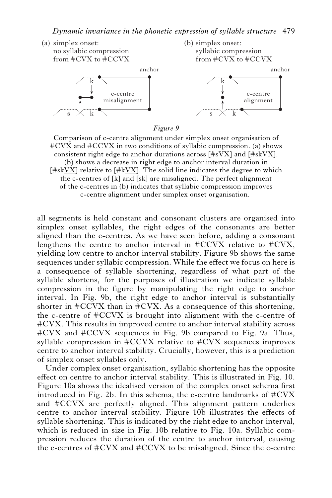

Comparison of c-centre alignment under simplex onset organisation of #CVX and #CCVX in two conditions of syllabic compression. (a) shows consistent right edge to anchor durations across [#sVX] and [#skVX]. (b) shows a decrease in right edge to anchor interval duration in  $[#skVX]$  relative to  $[#kVX]$ . The solid line indicates the degree to which the c-centres of [k] and [sk] are misaligned. The perfect alignment of the c-centres in (b) indicates that syllabic compression improves c-centre alignment under simplex onset organisation.

all segments is held constant and consonant clusters are organised into simplex onset syllables, the right edges of the consonants are better aligned than the c-centres. As we have seen before, adding a consonant lengthens the centre to anchor interval in #CCVX relative to #CVX, yielding low centre to anchor interval stability. Figure 9b shows the same sequences under syllabic compression. While the effect we focus on here is a consequence of syllable shortening, regardless of what part of the syllable shortens, for the purposes of illustration we indicate syllable compression in the figure by manipulating the right edge to anchor interval. In Fig. 9b, the right edge to anchor interval is substantially shorter in #CCVX than in #CVX. As a consequence of this shortening, the c-centre of #CCVX is brought into alignment with the c-centre of #CVX. This results in improved centre to anchor interval stability across #CVX and #CCVX sequences in Fig. 9b compared to Fig. 9a. Thus, syllable compression in #CCVX relative to #CVX sequences improves centre to anchor interval stability. Crucially, however, this is a prediction of simplex onset syllables only.

Under complex onset organisation, syllabic shortening has the opposite effect on centre to anchor interval stability. This is illustrated in Fig. 10. Figure 10a shows the idealised version of the complex onset schema first introduced in Fig. 2b. In this schema, the c-centre landmarks of #CVX and #CCVX are perfectly aligned. This alignment pattern underlies centre to anchor interval stability. Figure 10b illustrates the effects of syllable shortening. This is indicated by the right edge to anchor interval, which is reduced in size in Fig. 10b relative to Fig. 10a. Syllabic compression reduces the duration of the centre to anchor interval, causing the c-centres of #CVX and #CCVX to be misaligned. Since the c-centre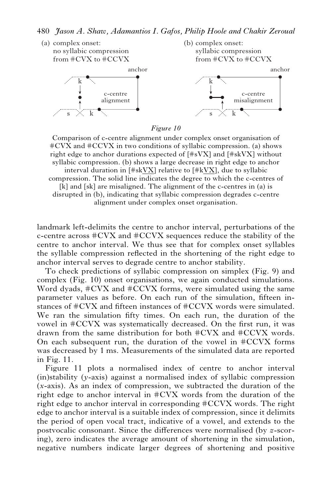(a) complex onset: no syllabic compression from #CVX to #CCVX (a) complex onset: (b)



#### *Figure 10*

Comparison of c-centre alignment under complex onset organisation of #CVX and #CCVX in two conditions of syllabic compression. (a) shows right edge to anchor durations expected of [#sVX] and [#skVX] without syllabic compression. (b) shows a large decrease in right edge to anchor interval duration in [#skVX] relative to [#kVX], due to syllabic compression. The solid line indicates the degree to which the c-centres of [k] and [sk] are misaligned. The alignment of the c-centres in (a) is disrupted in (b), indicating that syllabic compression degrades c-centre alignment under complex onset organisation.

landmark left-delimits the centre to anchor interval, perturbations of the c-centre across #CVX and #CCVX sequences reduce the stability of the centre to anchor interval. We thus see that for complex onset syllables the syllable compression reflected in the shortening of the right edge to anchor interval serves to degrade centre to anchor stability.

To check predictions of syllabic compression on simplex (Fig. 9) and complex (Fig. 10) onset organisations, we again conducted simulations. Word dyads, #CVX and #CCVX forms, were simulated using the same parameter values as before. On each run of the simulation, fifteen instances of #CVX and fifteen instances of #CCVX words were simulated. We ran the simulation fifty times. On each run, the duration of the vowel in #CCVX was systematically decreased. On the first run, it was drawn from the same distribution for both #CVX and #CCVX words. On each subsequent run, the duration of the vowel in #CCVX forms was decreased by 1 ms. Measurements of the simulated data are reported in Fig. 11.

Figure 11 plots a normalised index of centre to anchor interval (in)stability (*y*-axis) against a normalised index of syllabic compression (*x*-axis). As an index of compression, we subtracted the duration of the right edge to anchor interval in #CVX words from the duration of the right edge to anchor interval in corresponding #CCVX words. The right edge to anchor interval is a suitable index of compression, since it delimits the period of open vocal tract, indicative of a vowel, and extends to the postvocalic consonant. Since the differences were normalised (by *z*-scoring), zero indicates the average amount of shortening in the simulation, negative numbers indicate larger degrees of shortening and positive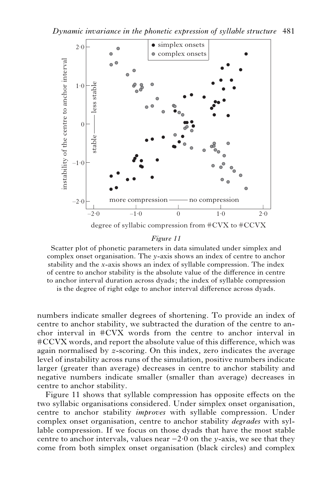

degree of syllabic compression from #CVX to #CCVX

Scatter plot of phonetic parameters in data simulated under simplex and complex onset organisation. The *y*-axis shows an index of centre to anchor stability and the *x*-axis shows an index of syllable compression. The index of centre to anchor stability is the absolute value of the difference in centre to anchor interval duration across dyads; the index of syllable compression is the degree of right edge to anchor interval difference across dyads.

numbers indicate smaller degrees of shortening. To provide an index of centre to anchor stability, we subtracted the duration of the centre to anchor interval in #CVX words from the centre to anchor interval in #CCVX words, and report the absolute value of this difference, which was again normalised by *z*-scoring. On this index, zero indicates the average level of instability across runs of the simulation, positive numbers indicate larger (greater than average) decreases in centre to anchor stability and negative numbers indicate smaller (smaller than average) decreases in centre to anchor stability.

Figure 11 shows that syllable compression has opposite effects on the two syllabic organisations considered. Under simplex onset organisation, centre to anchor stability *improves* with syllable compression. Under complex onset organisation, centre to anchor stability *degrades* with syllable compression. If we focus on those dyads that have the most stable centre to anchor intervals, values near  $-2.0$  on the *y*-axis, we see that they come from both simplex onset organisation (black circles) and complex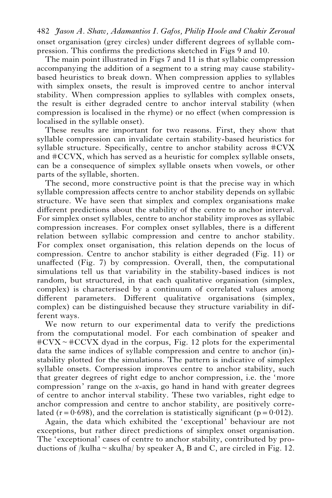onset organisation (grey circles) under different degrees of syllable compression. This confirms the predictions sketched in Figs 9 and 10. 482 *Jason A. Shaw, Adamantios I. Gafos, Philip Hoole and Chakir Zeroual*

The main point illustrated in Figs 7 and 11 is that syllabic compression accompanying the addition of a segment to a string may cause stabilitybased heuristics to break down. When compression applies to syllables with simplex onsets, the result is improved centre to anchor interval stability. When compression applies to syllables with complex onsets, the result is either degraded centre to anchor interval stability (when compression is localised in the rhyme) or no effect (when compression is localised in the syllable onset).

These results are important for two reasons. First, they show that syllable compression can invalidate certain stability-based heuristics for syllable structure. Specifically, centre to anchor stability across #CVX and #CCVX, which has served as a heuristic for complex syllable onsets, can be a consequence of simplex syllable onsets when vowels, or other parts of the syllable, shorten.

The second, more constructive point is that the precise way in which syllable compression affects centre to anchor stability depends on syllabic structure. We have seen that simplex and complex organisations make different predictions about the stability of the centre to anchor interval. For simplex onset syllables, centre to anchor stability improves as syllabic compression increases. For complex onset syllables, there is a different relation between syllabic compression and centre to anchor stability. For complex onset organisation, this relation depends on the locus of compression. Centre to anchor stability is either degraded (Fig. 11) or unaffected (Fig. 7) by compression. Overall, then, the computational simulations tell us that variability in the stability-based indices is not random, but structured, in that each qualitative organisation (simplex, complex) is characterised by a continuum of correlated values among different parameters. Different qualitative organisations (simplex, complex) can be distinguished because they structure variability in different ways.

We now return to our experimental data to verify the predictions from the computational model. For each combination of speaker and  $\text{HCVX}\sim\text{HCCVX}$  dyad in the corpus, Fig. 12 plots for the experimental data the same indices of syllable compression and centre to anchor (in) stability plotted for the simulations. The pattern is indicative of simplex syllable onsets. Compression improves centre to anchor stability, such that greater degrees of right edge to anchor compression, i.e. the 'more compression' range on the *x-*axis, go hand in hand with greater degrees of centre to anchor interval stability. These two variables, right edge to anchor compression and centre to anchor stability, are positively correlated ( $r=0.698$ ), and the correlation is statistically significant ( $p=0.012$ ).

Again, the data which exhibited the 'exceptional' behaviour are not exceptions, but rather direct predictions of simplex onset organisation. The 'exceptional' cases of centre to anchor stability, contributed by productions of /kulha  $\sim$  skulha/ by speaker A, B and C, are circled in Fig. 12.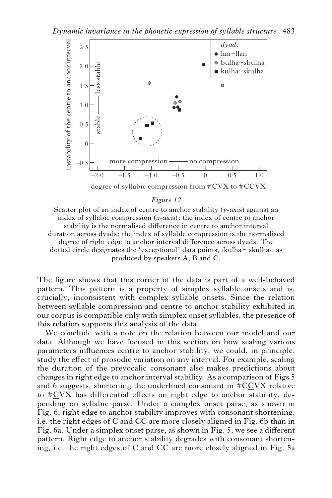

*Figure 12*

Scatter plot of an index of centre to anchor stability (*y*-axis) against an index of syllabic compression (*x*-axis): the index of centre to anchor stability is the normalised difference in centre to anchor interval duration across dyads; the index of syllable compression is the normalised degree of right edge to anchor interval difference across dyads. The dotted circle designates the 'exceptional' data points,  $/kulha \sim skulha/$ , as produced by speakers A, B and C.

The figure shows that this corner of the data is part of a well-behaved pattern. This pattern is a property of simplex syllable onsets and is, crucially, inconsistent with complex syllable onsets. Since the relation between syllable compression and centre to anchor stability exhibited in our corpus is compatible only with simplex onset syllables, the presence of this relation supports this analysis of the data.

We conclude with a note on the relation between our model and our data. Although we have focused in this section on how scaling various parameters influences centre to anchor stability, we could, in principle, study the effect of prosodic variation on any interval. For example, scaling the duration of the prevocalic consonant also makes predictions about changes in right edge to anchor interval stability. As a comparison of Figs 5 and 6 suggests, shortening the underlined consonant in #CCVX relative to #CVX has differential effects on right edge to anchor stability, depending on syllabic parse. Under a complex onset parse, as shown in Fig. 6, right edge to anchor stability improves with consonant shortening, i.e. the right edges of C and CC are more closely aligned in Fig. 6b than in Fig. 6a. Under a simplex onset parse, as shown in Fig. 5, we see a different pattern. Right edge to anchor stability degrades with consonant shortening, i.e. the right edges of C and CC are more closely aligned in Fig. 5a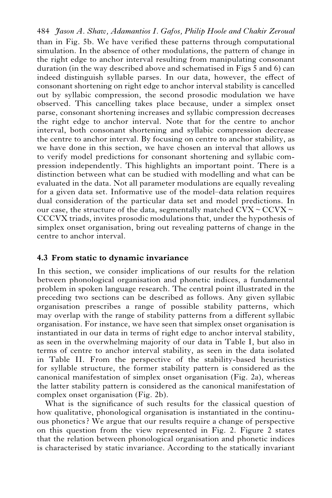than in Fig. 5b. We have verified these patterns through computational simulation. In the absence of other modulations, the pattern of change in the right edge to anchor interval resulting from manipulating consonant duration (in the way described above and schematised in Figs 5 and 6) can indeed distinguish syllable parses. In our data, however, the effect of consonant shortening on right edge to anchor interval stability is cancelled out by syllabic compression, the second prosodic modulation we have observed. This cancelling takes place because, under a simplex onset parse, consonant shortening increases and syllabic compression decreases the right edge to anchor interval. Note that for the centre to anchor interval, both consonant shortening and syllabic compression decrease the centre to anchor interval. By focusing on centre to anchor stability, as we have done in this section, we have chosen an interval that allows us to verify model predictions for consonant shortening and syllabic compression independently. This highlights an important point. There is a distinction between what can be studied with modelling and what can be evaluated in the data. Not all parameter modulations are equally revealing for a given data set. Informative use of the model–data relation requires dual consideration of the particular data set and model predictions. In our case, the structure of the data, segmentally matched  $\text{C}V\text{X} \sim \text{CC}V\text{X} \sim$ CCCVX triads, invites prosodic modulations that, under the hypothesis of simplex onset organisation, bring out revealing patterns of change in the centre to anchor interval. 484 *Jason A. Shaw, Adamantios I. Gafos, Philip Hoole and Chakir Zeroual*

## **4.3 From static to dynamic invariance**

In this section, we consider implications of our results for the relation between phonological organisation and phonetic indices, a fundamental problem in spoken language research. The central point illustrated in the preceding two sections can be described as follows. Any given syllabic organisation prescribes a range of possible stability patterns, which may overlap with the range of stability patterns from a different syllabic organisation. For instance, we have seen that simplex onset organisation is instantiated in our data in terms of right edge to anchor interval stability, as seen in the overwhelming majority of our data in Table I, but also in terms of centre to anchor interval stability, as seen in the data isolated in Table II. From the perspective of the stability-based heuristics for syllable structure, the former stability pattern is considered as the canonical manifestation of simplex onset organisation (Fig. 2a), whereas the latter stability pattern is considered as the canonical manifestation of complex onset organisation (Fig. 2b).

What is the significance of such results for the classical question of how qualitative, phonological organisation is instantiated in the continuous phonetics? We argue that our results require a change of perspective on this question from the view represented in Fig. 2. Figure 2 states that the relation between phonological organisation and phonetic indices is characterised by static invariance. According to the statically invariant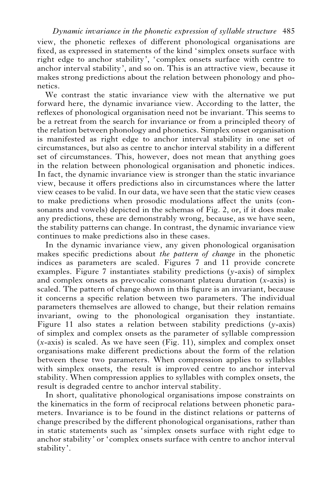view, the phonetic reflexes of different phonological organisations are fixed, as expressed in statements of the kind 'simplex onsets surface with right edge to anchor stability', 'complex onsets surface with centre to anchor interval stability', and so on. This is an attractive view, because it makes strong predictions about the relation between phonology and phonetics.

We contrast the static invariance view with the alternative we put forward here, the dynamic invariance view. According to the latter, the reflexes of phonological organisation need not be invariant. This seems to be a retreat from the search for invariance or from a principled theory of the relation between phonology and phonetics. Simplex onset organisation is manifested as right edge to anchor interval stability in one set of circumstances, but also as centre to anchor interval stability in a different set of circumstances. This, however, does not mean that anything goes in the relation between phonological organisation and phonetic indices. In fact, the dynamic invariance view is stronger than the static invariance view, because it offers predictions also in circumstances where the latter view ceases to be valid. In our data, we have seen that the static view ceases to make predictions when prosodic modulations affect the units (consonants and vowels) depicted in the schemas of Fig. 2, or, if it does make any predictions, these are demonstrably wrong, because, as we have seen, the stability patterns can change. In contrast, the dynamic invariance view continues to make predictions also in these cases.

In the dynamic invariance view, any given phonological organisation makes specific predictions about *the pattern of change* in the phonetic indices as parameters are scaled. Figures 7 and 11 provide concrete examples. Figure 7 instantiates stability predictions (*y-*axis) of simplex and complex onsets as prevocalic consonant plateau duration (*x*-axis) is scaled. The pattern of change shown in this figure is an invariant, because it concerns a specific relation between two parameters. The individual parameters themselves are allowed to change, but their relation remains invariant, owing to the phonological organisation they instantiate. Figure 11 also states a relation between stability predictions (*y*-axis) of simplex and complex onsets as the parameter of syllable compression (*x*-axis) is scaled. As we have seen (Fig. 11), simplex and complex onset organisations make different predictions about the form of the relation between these two parameters. When compression applies to syllables with simplex onsets, the result is improved centre to anchor interval stability. When compression applies to syllables with complex onsets, the result is degraded centre to anchor interval stability.

In short, qualitative phonological organisations impose constraints on the kinematics in the form of reciprocal relations between phonetic parameters. Invariance is to be found in the distinct relations or patterns of change prescribed by the different phonological organisations, rather than in static statements such as ' simplex onsets surface with right edge to anchor stability' or 'complex onsets surface with centre to anchor interval stability'.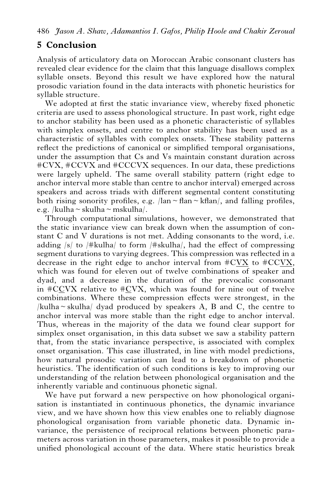## **5 Conclusion**

Analysis of articulatory data on Moroccan Arabic consonant clusters has revealed clear evidence for the claim that this language disallows complex syllable onsets. Beyond this result we have explored how the natural prosodic variation found in the data interacts with phonetic heuristics for syllable structure.

We adopted at first the static invariance view, whereby fixed phonetic criteria are used to assess phonological structure. In past work, right edge to anchor stability has been used as a phonetic characteristic of syllables with simplex onsets, and centre to anchor stability has been used as a characteristic of syllables with complex onsets. These stability patterns reflect the predictions of canonical or simplified temporal organisations, under the assumption that Cs and Vs maintain constant duration across #CVX, #CCVX and #CCCVX sequences. In our data, these predictions were largely upheld. The same overall stability pattern (right edge to anchor interval more stable than centre to anchor interval) emerged across speakers and across triads with different segmental content constituting both rising sonority profiles, e.g.  $/$ lan  $\sim$  flan  $\sim$  kflan $/$ , and falling profiles, e.g. /kulha~skulha~mskulha/.

Through computational simulations, however, we demonstrated that the static invariance view can break down when the assumption of constant C and V durations is not met. Adding consonants to the word, i.e. adding /s/ to /#kulha/ to form /#skulha/, had the effect of compressing segment durations to varying degrees. This compression was reflected in a decrease in the right edge to anchor interval from #CVX to #CCVX, which was found for eleven out of twelve combinations of speaker and dyad, and a decrease in the duration of the prevocalic consonant in #CCVX relative to #CVX, which was found for nine out of twelve combinations. Where these compression effects were strongest, in the  $/kulha \sim$ skulha/ dyad produced by speakers A, B and C, the centre to anchor interval was more stable than the right edge to anchor interval. Thus, whereas in the majority of the data we found clear support for simplex onset organisation, in this data subset we saw a stability pattern that, from the static invariance perspective, is associated with complex onset organisation. This case illustrated, in line with model predictions, how natural prosodic variation can lead to a breakdown of phonetic heuristics. The identification of such conditions is key to improving our understanding of the relation between phonological organisation and the inherently variable and continuous phonetic signal.

We have put forward a new perspective on how phonological organisation is instantiated in continuous phonetics, the dynamic invariance view, and we have shown how this view enables one to reliably diagnose phonological organisation from variable phonetic data. Dynamic invariance, the persistence of reciprocal relations between phonetic parameters across variation in those parameters, makes it possible to provide a unified phonological account of the data. Where static heuristics break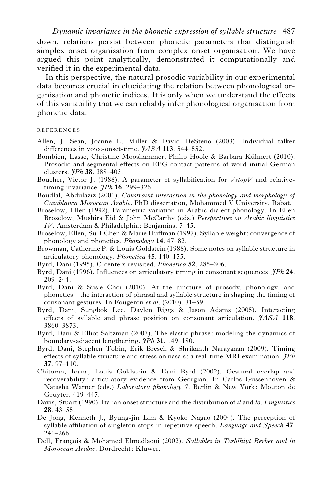down, relations persist between phonetic parameters that distinguish simplex onset organisation from complex onset organisation. We have argued this point analytically, demonstrated it computationally and verified it in the experimental data.

In this perspective, the natural prosodic variability in our experimental data becomes crucial in elucidating the relation between phonological organisation and phonetic indices. It is only when we understand the effects of this variability that we can reliably infer phonological organisation from phonetic data.

#### REFERENCES

- Allen, J. Sean, Joanne L. Miller & David DeSteno (2003). Individual talker differences in voice-onset-time. *JASA* **113**. 544–552.
- Bombien, Lasse, Christine Mooshammer, Philip Hoole & Barbara Kühnert (2010). Prosodic and segmental effects on EPG contact patterns of word-initial German clusters. *JPh* **38**. 388–403.
- Boucher, Victor J. (1988). A parameter of syllabification for *VstopV* and relativetiming invariance. *JPh* **16**. 299–326.
- Boudlal, Abdulaziz (2001). *Constraint interaction in the phonology and morphology of Casablanca Moroccan Arabic*. PhD dissertation, Mohammed V University, Rabat.
- Broselow, Ellen (1992). Parametric variation in Arabic dialect phonology. In Ellen Broselow, Mushira Eid & John McCarthy (eds.) *Perspectives on Arabic linguistics IV*. Amsterdam & Philadelphia: Benjamins. 7–45.
- Broselow, Ellen, Su-I Chen & Marie Huffman (1997). Syllable weight: convergence of phonology and phonetics. *Phonology* **14**. 47–82.
- Browman, Catherine P. & Louis Goldstein (1988). Some notes on syllable structure in articulatory phonology. *Phonetica* **45**. 140–155.
- Byrd, Dani (1995). C-centers revisited. *Phonetica* **52**. 285–306.
- Byrd, Dani (1996). Influences on articulatory timing in consonant sequences. *JPh* **24**. 209–244.
- Byrd, Dani & Susie Choi (2010). At the juncture of prosody, phonology, and phonetics – the interaction of phrasal and syllable structure in shaping the timing of consonant gestures. In Fougeron *et al*. (2010). 31–59.
- Byrd, Dani, Sungbok Lee, Daylen Riggs & Jason Adams (2005). Interacting effects of syllable and phrase position on consonant articulation. *JASA* **118**. 3860–3873.
- Byrd, Dani & Elliot Saltzman (2003). The elastic phrase: modeling the dynamics of boundary-adjacent lengthening. *JPh* **31**. 149–180.
- Byrd, Dani, Stephen Tobin, Erik Bresch & Shrikanth Narayanan (2009). Timing effects of syllable structure and stress on nasals: a real-time MRI examination. *JPh* **37**. 97–110.
- Chitoran, Ioana, Louis Goldstein & Dani Byrd (2002). Gestural overlap and recoverability: articulatory evidence from Georgian. In Carlos Gussenhoven & Natasha Warner (eds.) *Laboratory phonology 7*. Berlin & New York: Mouton de Gruyter. 419–447.
- Davis, Stuart (1990). Italian onset structure and the distribution of *il* and *lo*. *Linguistics* **28**. 43–55.
- De Jong, Kenneth J., Byung-jin Lim & Kyoko Nagao (2004). The perception of syllable affiliation of singleton stops in repetitive speech. *Language and Speech* **47**. 241–266.
- Dell, François & Mohamed Elmedlaoui (2002). *Syllables in Tashlhiyt Berber and in Moroccan Arabic*. Dordrecht: Kluwer.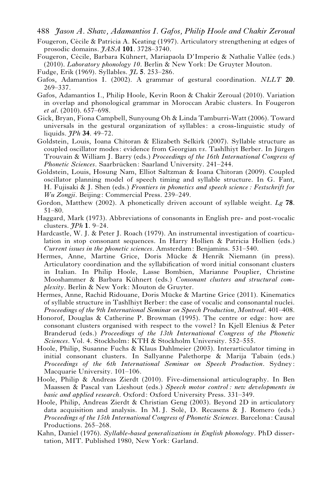- 488 *Jason A. Shaw, Adamantios I. Gafos, Philip Hoole and Chakir Zeroual*
- Fougeron, Cécile & Patricia A. Keating (1997). Articulatory strengthening at edges of prosodic domains. *JASA* **101**. 3728–3740.
- Fougeron, Cécile, Barbara Kühnert, Mariapaola D'Imperio & Nathalie Vallée (eds.) (2010). *Laboratory phonology 10*. Berlin & New York: De Gruyter Mouton.
- Fudge, Erik (1969). Syllables. *JL* **5**. 253–286.
- Gafos, Adamantios I. (2002). A grammar of gestural coordination. *NLLT* **20**. 269–337.
- Gafos, Adamantios I., Philip Hoole, Kevin Roon & Chakir Zeroual (2010). Variation in overlap and phonological grammar in Moroccan Arabic clusters. In Fougeron *et al*. (2010). 657–698.
- Gick, Bryan, Fiona Campbell, Sunyoung Oh & Linda Tamburri-Watt (2006). Toward universals in the gestural organization of syllables: a cross-linguistic study of liquids. *JPh* **34**. 49–72.
- Goldstein, Louis, Ioana Chitoran & Elizabeth Selkirk (2007). Syllable structure as coupled oscillator modes: evidence from Georgian *vs*. Tashlhiyt Berber. In Jürgen Trouvain & William J. Barry (eds.) *Proceedings of the 16th International Congress of Phonetic Sciences*. Saarbrücken: Saarland University. 241–244.
- Goldstein, Louis, Hosung Nam, Elliot Saltzman & Ioana Chitoran (2009). Coupled oscillator planning model of speech timing and syllable structure. In G. Fant, H. Fujisaki & J. Shen (eds.) *Frontiers in phonetics and speech science : Festschrift for Wu Zongji*. Beijing: Commercial Press. 239–249.
- Gordon, Matthew (2002). A phonetically driven account of syllable weight. *Lg* **78**. 51–80.
- Haggard, Mark (1973). Abbreviations of consonants in English pre- and post-vocalic clusters. *JPh* **1**. 9–24.
- Hardcastle, W. J. & Peter J. Roach (1979). An instrumental investigation of coarticulation in stop consonant sequences. In Harry Hollien & Patricia Hollien (eds.) *Current issues in the phonetic sciences*. Amsterdam: Benjamins. 531–540.
- Hermes, Anne, Martine Grice, Doris Mücke & Henrik Niemann (in press). Articulatory coordination and the syllabification of word initial consonant clusters in Italian. In Philip Hoole, Lasse Bombien, Marianne Pouplier, Christine Mooshammer & Barbara Kühnert (eds.) Consonant clusters and structural com*plexity*. Berlin & New York: Mouton de Gruyter.
- Hermes, Anne, Rachid Ridouane, Doris Mücke & Martine Grice (2011). Kinematics of syllable structure in Tashlhiyt Berber: the case of vocalic and consonantal nuclei. *Proceedings of the 9th International Seminar on Speech Production, Montreal*. 401–408.
- Honorof, Douglas & Catherine P. Browman (1995). The centre or edge: how are consonant clusters organised with respect to the vowel ? In Kjell Elenius & Peter Branderud (eds.) *Proceedings of the 13th International Congress of the Phonetic Sciences*. Vol. 4. Stockholm: KTH & Stockholm University. 552–555.
- Hoole, Philip, Susanne Fuchs & Klaus Dahlmeier (2003). Interarticulator timing in initial consonant clusters. In Sallyanne Palethorpe & Marija Tabain (eds.) *Proceedings of the 6th International Seminar on Speech Production*. Sydney: Macquarie University. 101–106.
- Hoole, Philip & Andreas Zierdt (2010). Five-dimensional articulography. In Ben Maassen & Pascal van Lieshout (eds.) *Speech motor control : new developments in basic and applied research*. Oxford: Oxford University Press. 331–349.
- Hoole, Philip, Andreas Zierdt & Christian Geng (2003). Beyond 2D in articulatory data acquisition and analysis. In M. J. Solé, D. Recasens  $\&$  J. Romero (eds.) *Proceedings of the 15th International Congress of Phonetic Sciences*. Barcelona: Causal Productions. 265–268.
- Kahn, Daniel (1976). *Syllable-based generalizations in English phonology*. PhD dissertation, MIT. Published 1980, New York: Garland.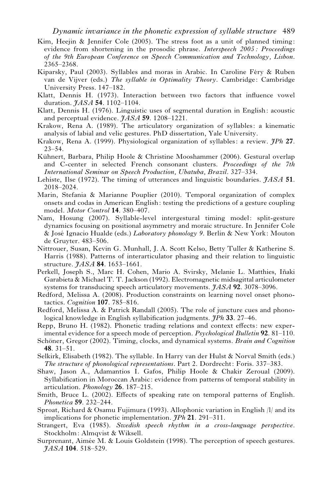- Kim, Heejin & Jennifer Cole (2005). The stress foot as a unit of planned timing: evidence from shortening in the prosodic phrase. *Interspeech 2005: Proceedings of the 9th European Conference on Speech Communication and Technology, Lisbon*. 2365–2368.
- Kiparsky, Paul (2003). Syllables and moras in Arabic. In Caroline Féry  $\&$  Ruben van de Vijver (eds.) *The syllable in Optimality Theory*. Cambridge: Cambridge University Press. 147–182.
- Klatt, Dennis H. (1973). Interaction between two factors that influence vowel duration. *JASA* **54**. 1102–1104.
- Klatt, Dennis H. (1976). Linguistic uses of segmental duration in English: acoustic and perceptual evidence. *JASA* **59**. 1208–1221.
- Krakow, Rena A. (1989). The articulatory organization of syllables: a kinematic analysis of labial and velic gestures. PhD dissertation, Yale University.
- Krakow, Rena A. (1999). Physiological organization of syllables: a review. *JPh* **27**. 23–54.
- Kühnert, Barbara, Philip Hoole & Christine Mooshammer (2006). Gestural overlap and C-center in selected French consonant clusters. *Proceedings of the 7th International Seminar on Speech Production, Ubatuba, Brazil*. 327–334.
- Lehiste, Ilse (1972). The timing of utterances and linguistic boundaries. *JASA* **51**. 2018–2024.
- Marin, Stefania & Marianne Pouplier (2010). Temporal organization of complex onsets and codas in American English: testing the predictions of a gesture coupling model. *Motor Control* **14**. 380–407.
- Nam, Hosung (2007). Syllable-level intergestural timing model: split-gesture dynamics focusing on positional asymmetry and moraic structure. In Jennifer Cole & Jose´ Ignacio Hualde (eds.) *Laboratory phonology 9*. Berlin & New York: Mouton de Gruyter. 483–506.
- Nittrouer, Susan, Kevin G. Munhall, J. A. Scott Kelso, Betty Tuller & Katherine S. Harris (1988). Patterns of interarticulator phasing and their relation to linguistic structure. *JASA* **84**. 1653–1661.
- Perkell, Joseph S., Marc H. Cohen, Mario A. Svirsky, Melanie L. Matthies, Iñaki Garabieta & Michael T. T. Jackson (1992). Electromagnetic midsagittal articulometer systems for transducing speech articulatory movements. *JASA* **92**. 3078–3096.
- Redford, Melissa A. (2008). Production constraints on learning novel onset phonotactics. *Cognition* **107**. 785–816.
- Redford, Melissa A. & Patrick Randall (2005). The role of juncture cues and phonological knowledge in English syllabification judgments. *JPh* **33**. 27–46.
- Repp, Bruno H. (1982). Phonetic trading relations and context effects: new experimental evidence for a speech mode of perception. *Psychological Bulletin* **92**. 81–110.
- Schöner, Gregor (2002). Timing, clocks, and dynamical systems. *Brain and Cognition* **48**. 31–51.
- Selkirk, Elisabeth (1982). The syllable. In Harry van der Hulst & Norval Smith (eds.) *The structure of phonological representations*. Part 2. Dordrecht: Foris. 337–383.
- Shaw, Jason A., Adamantios I. Gafos, Philip Hoole & Chakir Zeroual (2009). Syllabification in Moroccan Arabic: evidence from patterns of temporal stability in articulation. *Phonology* **26**. 187–215.
- Smith, Bruce L. (2002). Effects of speaking rate on temporal patterns of English. *Phonetica* **59**. 232–244.
- Sproat, Richard & Osamu Fujimura (1993). Allophonic variation in English /l/ and its implications for phonetic implementation. *JPh* **21**. 291–311.
- Strangert, Eva (1985). *Swedish speech rhythm in a cross-language perspective*. Stockholm: Almqvist & Wiksell.
- Surprenant, Aimée M. & Louis Goldstein (1998). The perception of speech gestures. *JASA* **104**. 518–529.